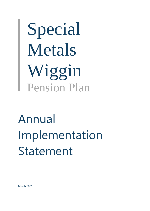Special Metals Wiggin Pension Plan

# Annual Implementation Statement

March 2021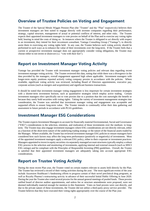#### **Overview of Trustee Policies on Voting and Engagement**

The Trustee of the Special Metals Wiggin Pension Plan (the "Trustee" and the "Plan" respectively) believes their investment managers are best suited to engage directly with investee companies regarding their performance, strategy, capital structure, management of actual or potential conflicts of interest, and other risks. The Trustee expects their appointed investment managers to vote proxies on behalf of the Plan and to exercise any voting rights held, bearing in mind the costs of doing so. In instances where the Trustee is obligated to act directly with respect to an investment, they intend for their investment consultant, Vantage Consulting Group ("Vantage"), to directly assist them in exercising any voting rights held. In any case, the Trustee believes such voting activity should be performed in such ways as to enhance the value of their investments over the long-term. If the Trustee feels that a current or prospective investment manager does not appropriately consider voting obligations, the Trustee may choose either to not invest or disinvest (i.e. "vote with their feet").

#### **Report on Investment Manager Voting Activity**

Vantage has provided the Trustee with investment manager voting policies and relevant data regarding recent investment manager voting activity. The Trustee reviewed this data, noting that while there was a divergence in the data provided by the managers, overall engagement appeared high where applicable. Investment managers with longer-term equity positions reported actively voting company proxies in accordance with the policies. Where available, significant voting activity was reviewed, including Board of Directors appointments, executive pay, corporate actions (such as mergers and acquisitions) and significant business transactions.

It should be noted that investment manager voting engagement is less important for certain investment strategies with a shorter-term investment horizon, such as quantitative strategies which employ active trading. Certain investment managers elect specifically not to vote proxies due to a position that the cost outweighs the benefit or because they rarely hold securities with voting rights. Taking the variety of investment management strategies into consideration, the Trustee was satisfied that investment manager voting and engagement was acceptable and supported efforts to ensure long-term value. The Trustee intends to continually refine their data gathering and assessment in future periods in accordance with PLSA guidelines.

### **Investment Manager ESG Considerations**

The Trustee expects Investment Managers to account for financially material Environmental, Social and Governance ("ESG") considerations in the selection, retention, and realization of those investments over the medium- to longterm. The Trustee may also engage investment managers where ESG considerations are not directly relevant, either as a function of the short-term nature of the underlying trading strategy or the nature of the financial assets traded by the Manager. Where available, the Trustee has reviewed investment manager ESG policies to ensure managers have considered how such factors may affect the long-term performance (positively or negatively) of investments. Most of the appointed investment managers apply a relevant ESG policy, either to their corporate or investment practices. Managers appointed to invest in equity securities via separately managed account structures typically employ a robust ESG process in the selection and monitoring of investments, applying internal and external research (such as MSCI ESG ratings) and be compliant with the Principles of Responsible Investing (PRI) guidelines. Overall, the Trustee is satisfied that their appointed investment managers are adequately taking into account appropriate ESG considerations.

## **Report on Trustee Voting Activity**

During the most recent Plan year, the Trustee voted on certain matters relevant to assets held directly by the Plan. The Trustee has reviewed a record of their voting activities during the year. The most significant events of the year include Ascension Healthcare's fundraising efforts to progress certain of their novel preclinical drug programs, as well as Royalty Pharma's restructuring activity in advance of their successful Initial Public Offering in June 2020. During the year the Trustee also voted several proxies for the annual general meetings of pooled funds. These proxies ratified board of director auditor appointments, and unless fee or structure amendments were proposed, were not deemed individually material enough for mention in this Statement. Votes on fund proxies were cast directly, and due to the private nature of these investments, the Trustee did not utilize a third-party proxy service provider. The Trustee believes that they have executed their voting rights appropriately over the course of the Plan year.